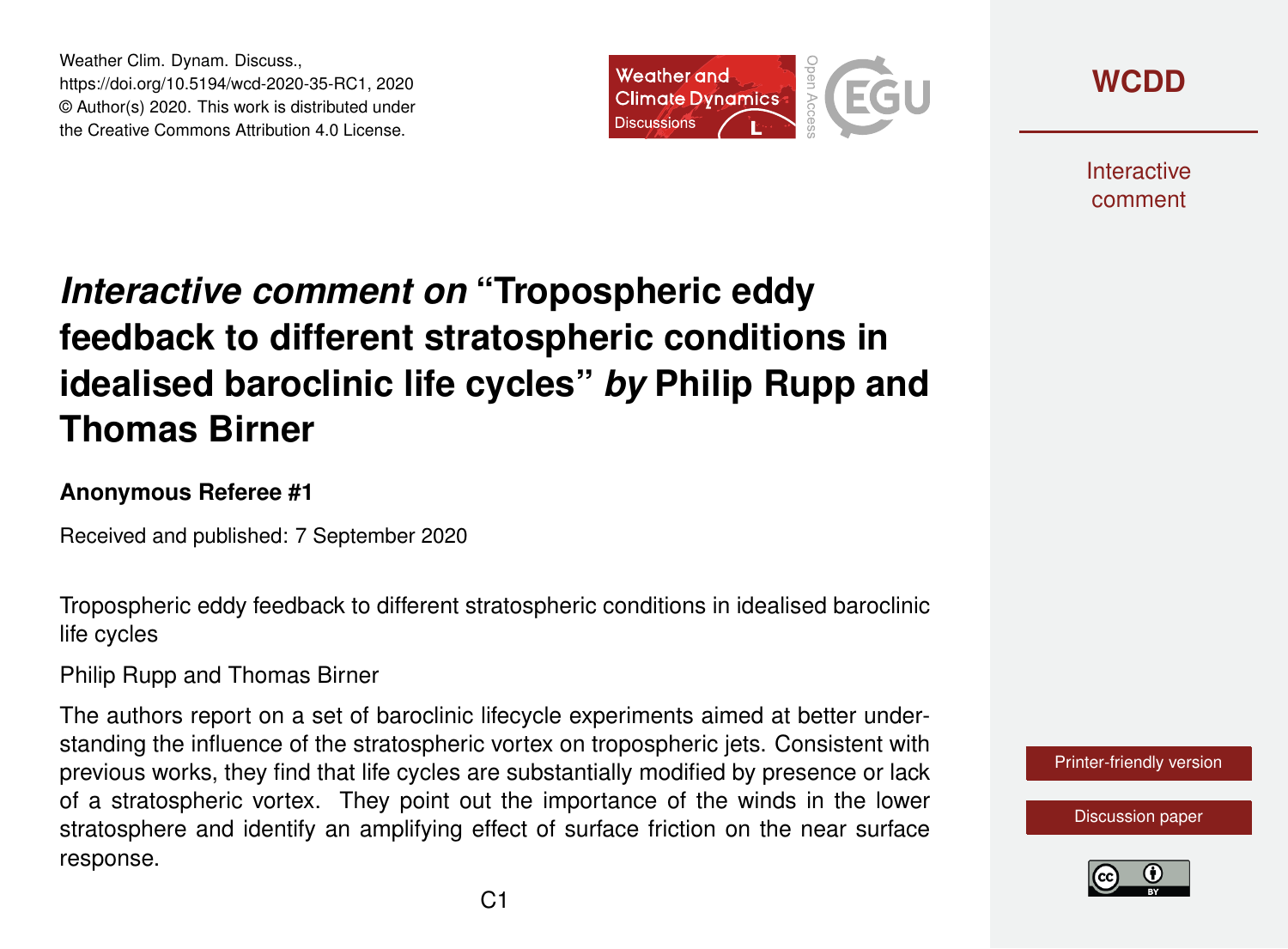Weather Clim. Dynam. Discuss., https://doi.org/10.5194/wcd-2020-35-RC1, 2020 © Author(s) 2020. This work is distributed under the Creative Commons Attribution 4.0 License.





**Interactive** comment

# *Interactive comment on* **"Tropospheric eddy feedback to different stratospheric conditions in idealised baroclinic life cycles"** *by* **Philip Rupp and Thomas Birner**

#### **Anonymous Referee #1**

Received and published: 7 September 2020

Tropospheric eddy feedback to different stratospheric conditions in idealised baroclinic life cycles

Philip Rupp and Thomas Birner

The authors report on a set of baroclinic lifecycle experiments aimed at better understanding the influence of the stratospheric vortex on tropospheric jets. Consistent with previous works, they find that life cycles are substantially modified by presence or lack of a stratospheric vortex. They point out the importance of the winds in the lower stratosphere and identify an amplifying effect of surface friction on the near surface response.



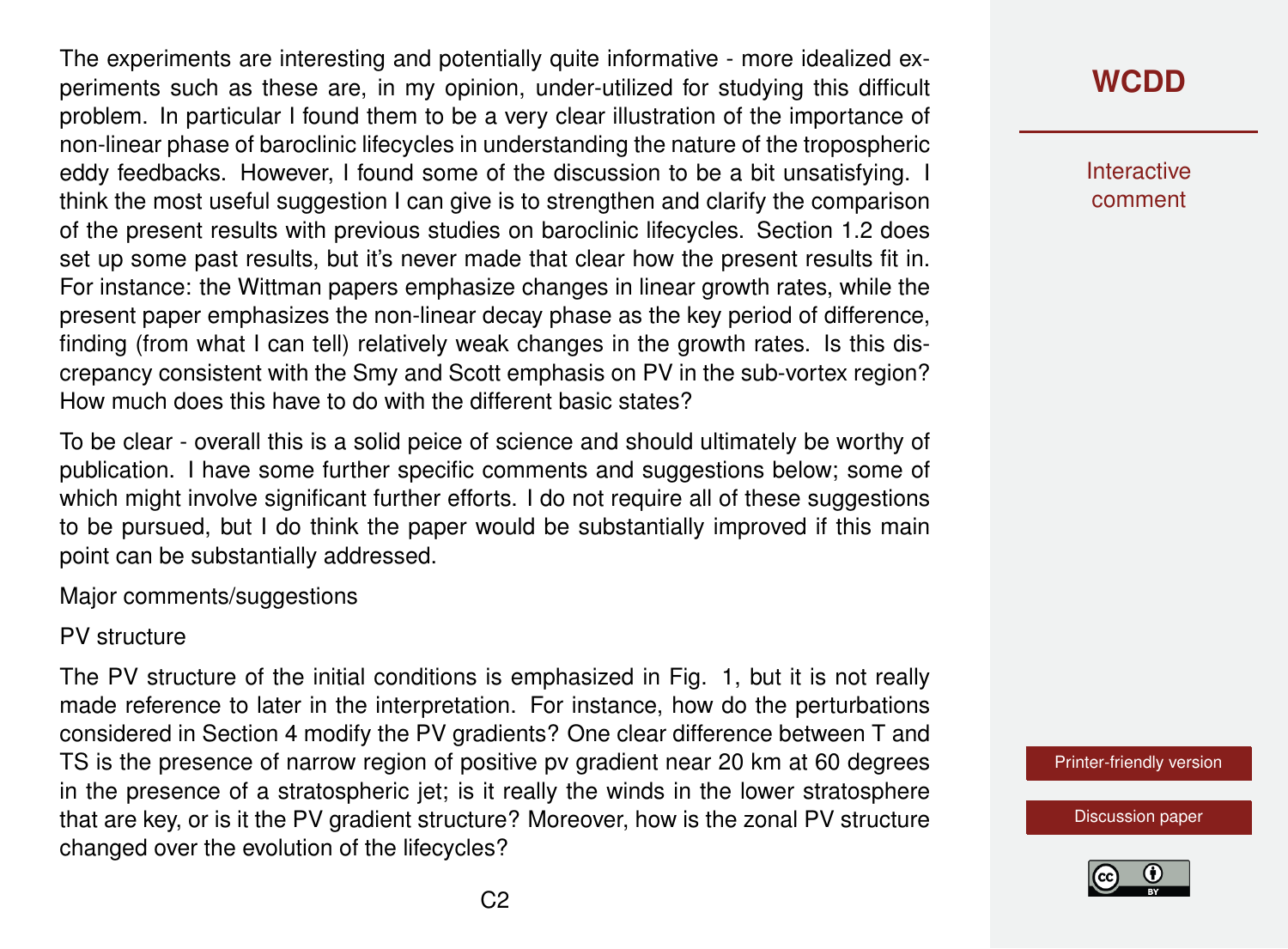The experiments are interesting and potentially quite informative - more idealized experiments such as these are, in my opinion, under-utilized for studying this difficult problem. In particular I found them to be a very clear illustration of the importance of non-linear phase of baroclinic lifecycles in understanding the nature of the tropospheric eddy feedbacks. However, I found some of the discussion to be a bit unsatisfying. I think the most useful suggestion I can give is to strengthen and clarify the comparison of the present results with previous studies on baroclinic lifecycles. Section 1.2 does set up some past results, but it's never made that clear how the present results fit in. For instance: the Wittman papers emphasize changes in linear growth rates, while the present paper emphasizes the non-linear decay phase as the key period of difference, finding (from what I can tell) relatively weak changes in the growth rates. Is this discrepancy consistent with the Smy and Scott emphasis on PV in the sub-vortex region? How much does this have to do with the different basic states?

To be clear - overall this is a solid peice of science and should ultimately be worthy of publication. I have some further specific comments and suggestions below; some of which might involve significant further efforts. I do not require all of these suggestions to be pursued, but I do think the paper would be substantially improved if this main point can be substantially addressed.

Major comments/suggestions

PV structure

The PV structure of the initial conditions is emphasized in Fig. 1, but it is not really made reference to later in the interpretation. For instance, how do the perturbations considered in Section 4 modify the PV gradients? One clear difference between T and TS is the presence of narrow region of positive pv gradient near 20 km at 60 degrees in the presence of a stratospheric jet; is it really the winds in the lower stratosphere that are key, or is it the PV gradient structure? Moreover, how is the zonal PV structure changed over the evolution of the lifecycles?

## **[WCDD](https://wcd.copernicus.org/preprints/)**

**Interactive** comment

[Printer-friendly version](https://wcd.copernicus.org/preprints/wcd-2020-35/wcd-2020-35-RC1-print.pdf)

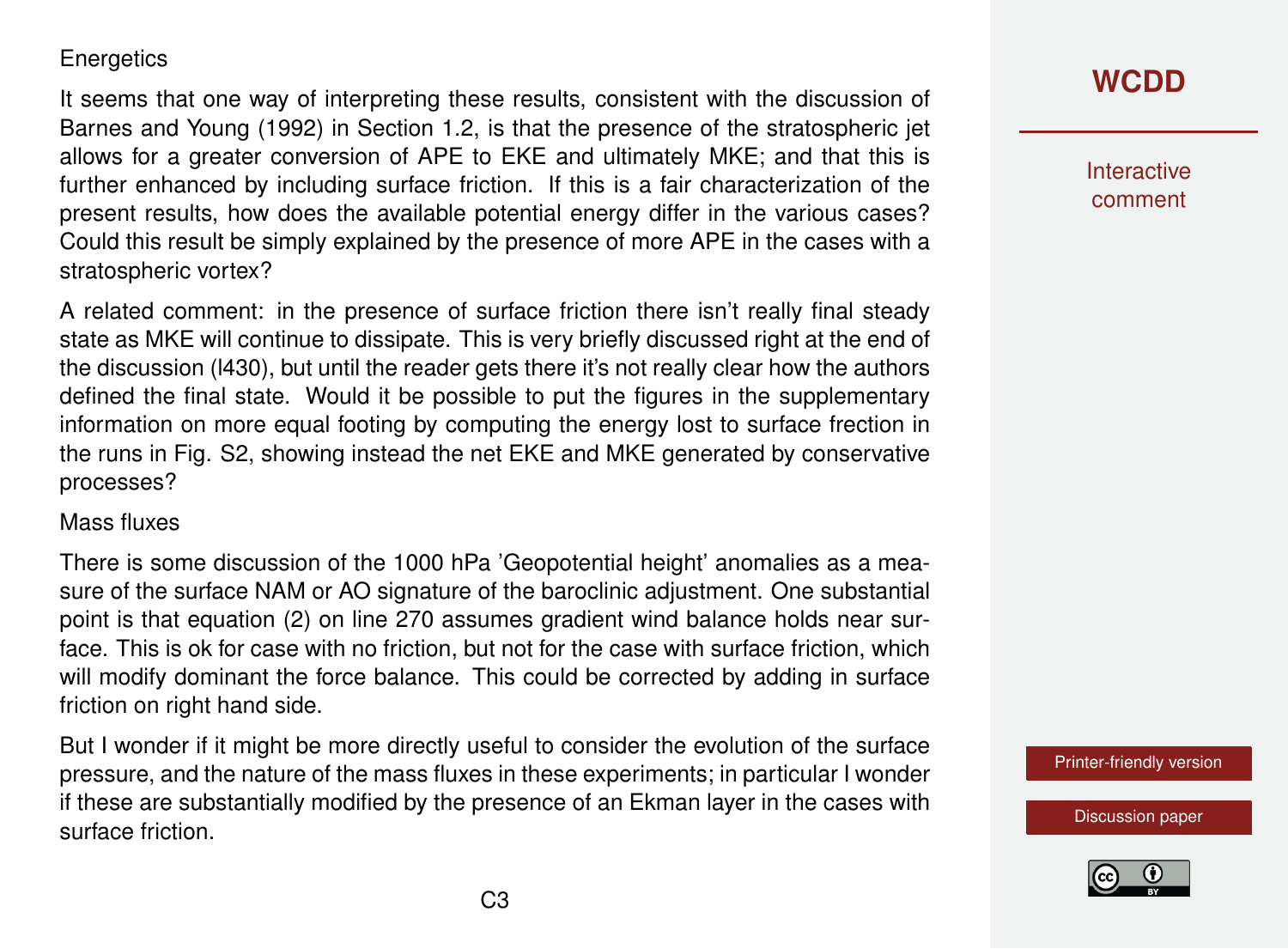#### **Energetics**

It seems that one way of interpreting these results, consistent with the discussion of Barnes and Young (1992) in Section 1.2, is that the presence of the stratospheric jet allows for a greater conversion of APE to EKE and ultimately MKE; and that this is further enhanced by including surface friction. If this is a fair characterization of the present results, how does the available potential energy differ in the various cases? Could this result be simply explained by the presence of more APE in the cases with a stratospheric vortex?

A related comment: in the presence of surface friction there isn't really final steady state as MKE will continue to dissipate. This is very briefly discussed right at the end of the discussion (l430), but until the reader gets there it's not really clear how the authors defined the final state. Would it be possible to put the figures in the supplementary information on more equal footing by computing the energy lost to surface frection in the runs in Fig. S2, showing instead the net EKE and MKE generated by conservative processes?

#### Mass fluxes

There is some discussion of the 1000 hPa 'Geopotential height' anomalies as a measure of the surface NAM or AO signature of the baroclinic adjustment. One substantial point is that equation (2) on line 270 assumes gradient wind balance holds near surface. This is ok for case with no friction, but not for the case with surface friction, which will modify dominant the force balance. This could be corrected by adding in surface friction on right hand side.

But I wonder if it might be more directly useful to consider the evolution of the surface pressure, and the nature of the mass fluxes in these experiments; in particular I wonder if these are substantially modified by the presence of an Ekman layer in the cases with surface friction.

## **[WCDD](https://wcd.copernicus.org/preprints/)**

Interactive comment

[Printer-friendly version](https://wcd.copernicus.org/preprints/wcd-2020-35/wcd-2020-35-RC1-print.pdf)

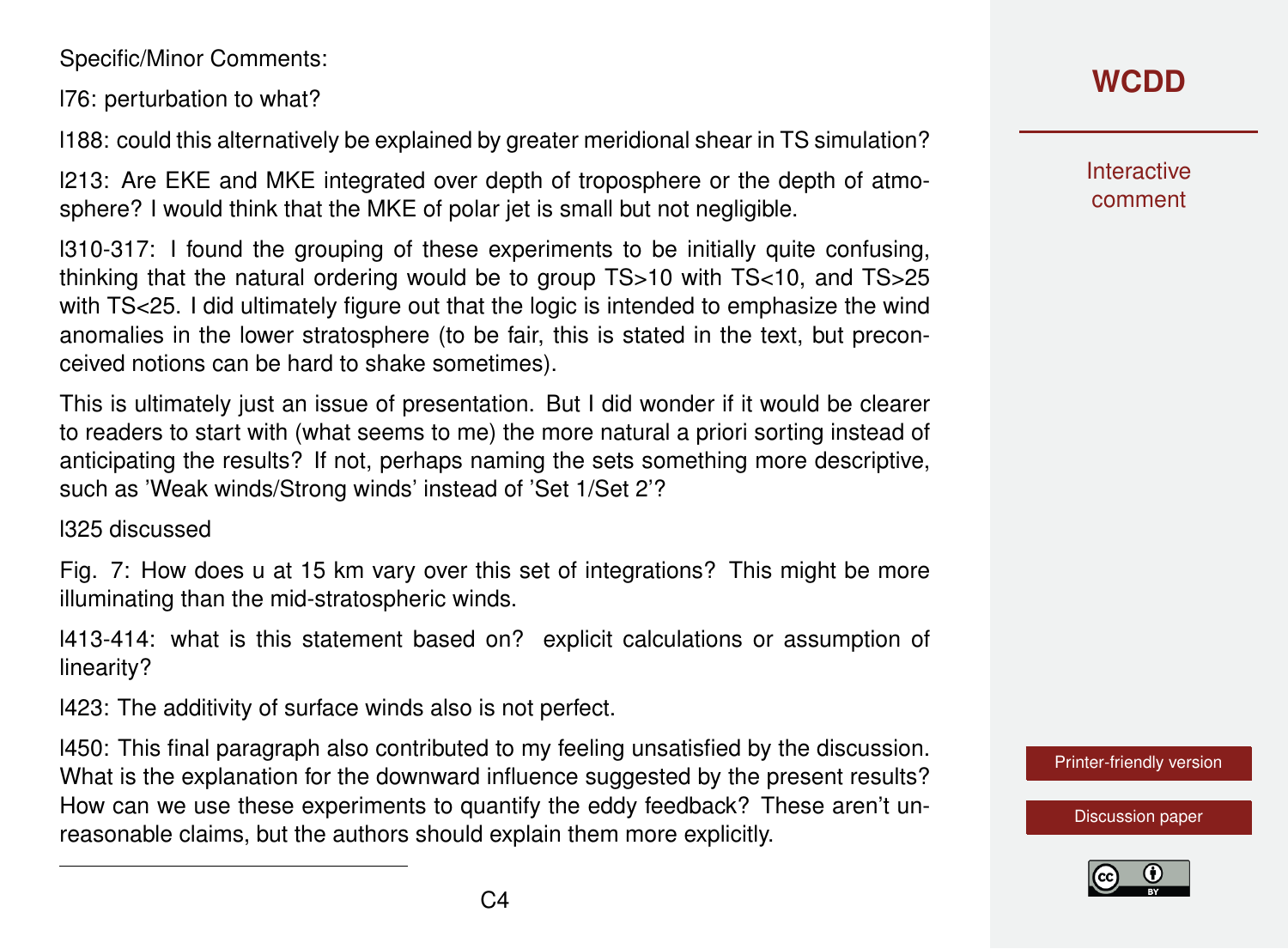Specific/Minor Comments:

l76: perturbation to what?

l188: could this alternatively be explained by greater meridional shear in TS simulation?

l213: Are EKE and MKE integrated over depth of troposphere or the depth of atmosphere? I would think that the MKE of polar jet is small but not negligible.

l310-317: I found the grouping of these experiments to be initially quite confusing, thinking that the natural ordering would be to group TS>10 with TS<10, and TS>25 with TS<25. I did ultimately figure out that the logic is intended to emphasize the wind anomalies in the lower stratosphere (to be fair, this is stated in the text, but preconceived notions can be hard to shake sometimes).

This is ultimately just an issue of presentation. But I did wonder if it would be clearer to readers to start with (what seems to me) the more natural a priori sorting instead of anticipating the results? If not, perhaps naming the sets something more descriptive, such as 'Weak winds/Strong winds' instead of 'Set 1/Set 2'?

l325 discussed

Fig. 7: How does u at 15 km vary over this set of integrations? This might be more illuminating than the mid-stratospheric winds.

l413-414: what is this statement based on? explicit calculations or assumption of linearity?

l423: The additivity of surface winds also is not perfect.

l450: This final paragraph also contributed to my feeling unsatisfied by the discussion. What is the explanation for the downward influence suggested by the present results? How can we use these experiments to quantify the eddy feedback? These aren't unreasonable claims, but the authors should explain them more explicitly.

**[WCDD](https://wcd.copernicus.org/preprints/)**

**Interactive** comment

[Printer-friendly version](https://wcd.copernicus.org/preprints/wcd-2020-35/wcd-2020-35-RC1-print.pdf)